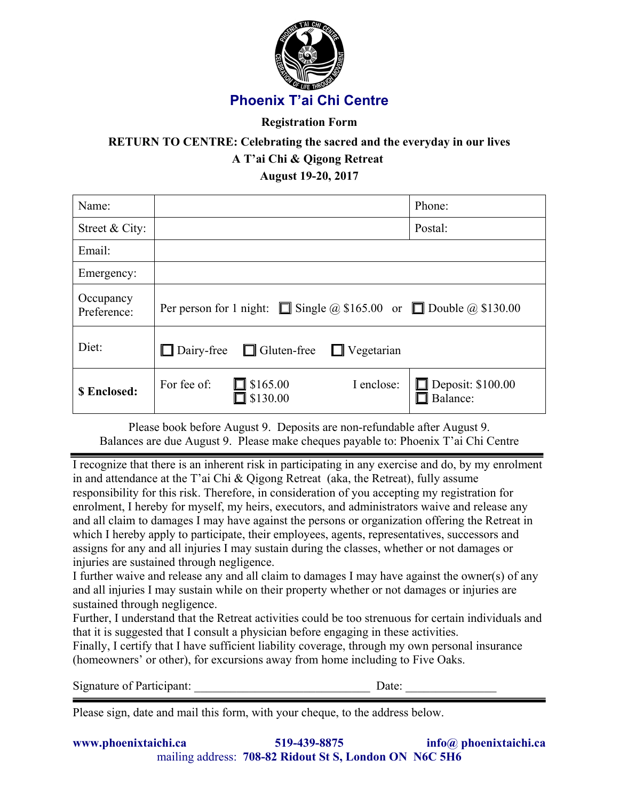

## **Registration Form**

# **RETURN TO CENTRE: Celebrating the sacred and the everyday in our lives A T'ai Chi & Qigong Retreat August 19-20, 2017**

Name:  $\vert$  Phone: Street & City: Postal: Email: Emergency: Occupancy<br>Preference: Per person for 1 night:  $\Box$  Single @ \$165.00 or  $\Box$  Double @ \$130.00 Diet:  $\Box$  Dairy-free  $\Box$  Gluten-free  $\Box$  Vegetarian **\$ Enclosed:**  $\begin{bmatrix} \text{For fee of:} \\ \text{For } \text{fee of:} \\ \text{For } \text{step of:} \end{bmatrix}$  \$165.00 I enclose:  $\Box$  \$130.00  $\Box$  Deposit: \$100.00  $\Box$  Balance:

Please book before August 9. Deposits are non-refundable after August 9. Balances are due August 9. Please make cheques payable to: Phoenix T'ai Chi Centre

I recognize that there is an inherent risk in participating in any exercise and do, by my enrolment in and attendance at the T'ai Chi & Qigong Retreat (aka, the Retreat), fully assume responsibility for this risk. Therefore, in consideration of you accepting my registration for enrolment, I hereby for myself, my heirs, executors, and administrators waive and release any and all claim to damages I may have against the persons or organization offering the Retreat in which I hereby apply to participate, their employees, agents, representatives, successors and assigns for any and all injuries I may sustain during the classes, whether or not damages or injuries are sustained through negligence.

I further waive and release any and all claim to damages I may have against the owner(s) of any and all injuries I may sustain while on their property whether or not damages or injuries are sustained through negligence.

Further, I understand that the Retreat activities could be too strenuous for certain individuals and that it is suggested that I consult a physician before engaging in these activities.

Finally, I certify that I have sufficient liability coverage, through my own personal insurance (homeowners' or other), for excursions away from home including to Five Oaks.

Signature of Participant: <u>Date:</u>  $\Box$ 

Please sign, date and mail this form, with your cheque, to the address below.